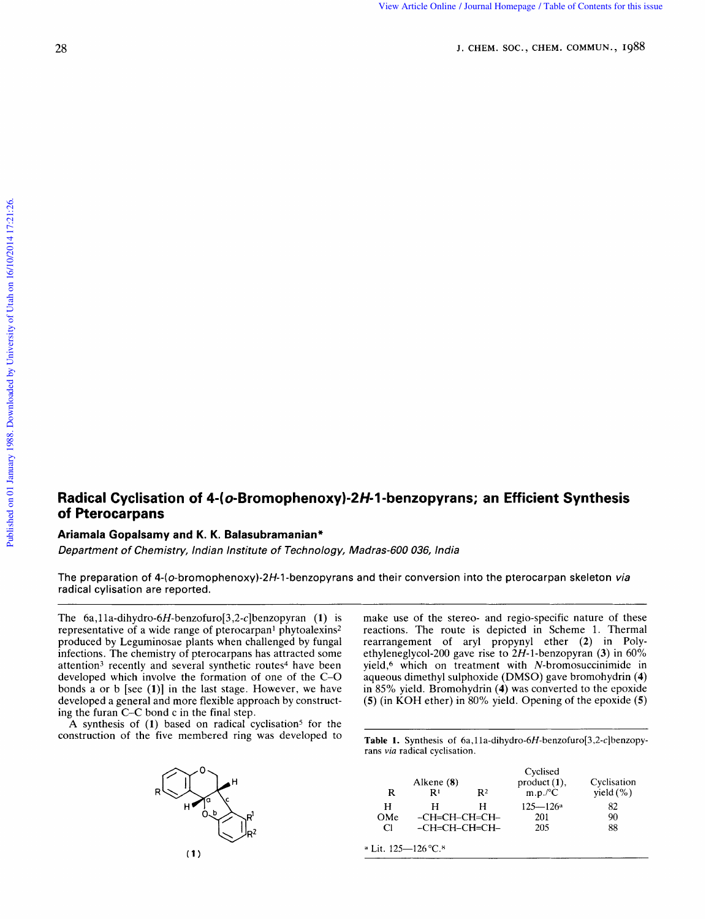## **Radical Cyclisation of 4-( o-Bromophenoxy)-2H-l -benzopyrans; an Efficient Synthesis of Pterocarpans ophenoxy)-2H-1-benzopyrans; an Efficient Synthesis<br>amanian\*<br>of Technology, Madras-600 036, India** Radical Cyclisation of 4-(*o*-Bromophenoxy)-2*H*-1-benzopyrans; an Efficient Synthesis<br>of Pterocarpans<br>Ariamala Gopalsamy and K. K. Balasubramanian\*<br>*Department of Chemistry, Indian Institute of Technology, Madras-600 036,*

## **Ariamala Gopalsamy and K. K. Balasubramanian"**

Department of Chemistry, Indian Institute

radical cylisation are reported. The preparation of 4-(o-bromophenoxy)-2H-1-benzopyrans and their conversion into the pterocarpan skeleton *via*<br>The preparation of 4-(o-bromophenoxy)-2H-1-benzopyrans and their conversion into the pterocarpan skeleton *via* 

representative of a wide range of pterocarpan<sup>1</sup> phytoalexins<sup>2</sup> produced by Leguminosae plants when challenged by fungal infections. The chemistry of pterocarpans has attracted some attention<sup>3</sup> recently and several synthetic routes<sup>4</sup> have been developed which involve the formation of one of the C-0 bonds a or b [see **(l)]** in the last stage. However, we have developed a general and more flexible approach by constructing the furan C-C bond c in the final step.

A synthesis of (1) based on radical cyclisation<sup>5</sup> for the construction of the five membered ring was developed to



make use of the stereo- and regio-specific nature of these reactions. The route is depicted in Scheme 1. Thermal rearrangement of aryl propynyl ether **(2)** in Polyethyleneglycol-200 gave rise to 2H-1-benzopyran **(3)** in 60% yield,6 which on treatment with N-bromosuccinimide in aqueous dimethyl sulphoxide (DMSO) gave bromohydrin **(4)**  in 85% yield. Bromohydrin **(4)** was converted to the epoxide **(5)**  (in KOH ether) in 80% yield. Opening of the epoxide **Figures**<br> **(5)**<br> **(4)**<br> **(5)**<br> **(5)** rans *zyxyield.* Bromohydrin (4) was converted to the epoxide (5) (in KOH ether) in 80% yield. Opening of the epoxide (5) (in KOH ether) in 80% yield. Opening of the epoxide (5) and a cyclisation.<br>Table 1. Synthesis of 6a,

**Table 1.** Synthesis of 6a,11a-dihydro-6H-benzofuro[3,2-c]benzopy-rans *via* radical cyclisation.

| R                   | Alkene (8)<br>R۱ | R <sup>2</sup> | Cyclised<br>product $(1)$ ,<br>$m.p.^{\circ}C$ | Cyclisation<br>$yield (\% )$ |
|---------------------|------------------|----------------|------------------------------------------------|------------------------------|
| н                   | н                | Н              | $125 - 126a$                                   | 82                           |
| OMe                 | -CH=CH-CH=CH-    |                | 201                                            | 90                           |
| C1                  | -CH=CH-CH=CH-    |                | 205                                            | 88                           |
| ª Lit. 125—126 °C.8 |                  |                |                                                |                              |